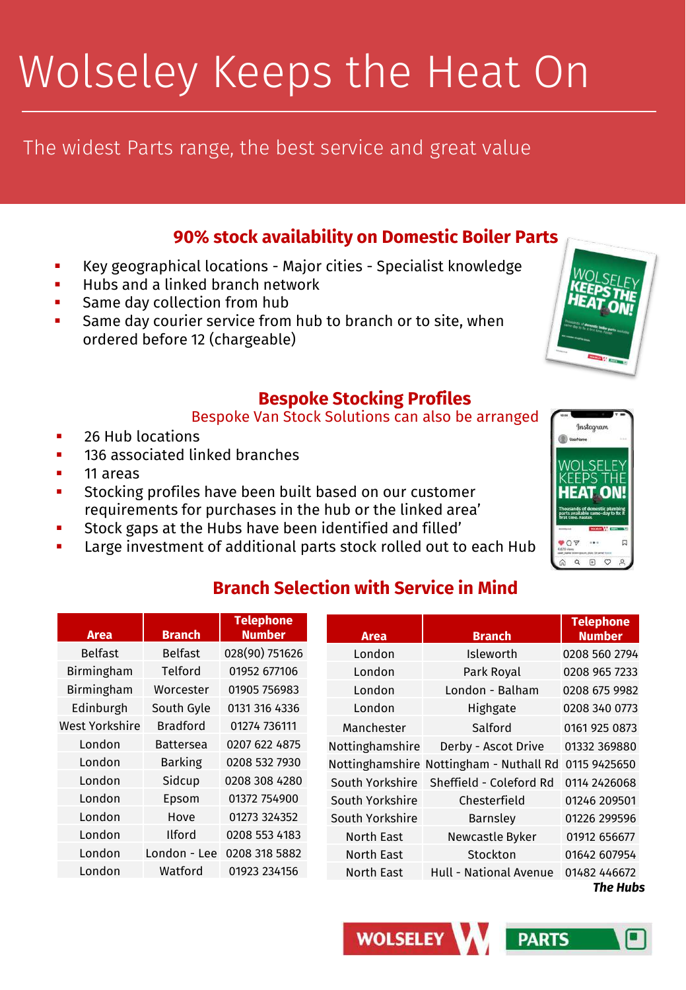# Wolseley Keeps the Heat On

### The widest Parts range, the best service and great value

#### **90% stock availability on Domestic Boiler Parts**

- Key geographical locations Major cities Specialist knowledge
- Hubs and a linked branch network
- Same day collection from hub
- Same day courier service from hub to branch or to site, when ordered before 12 (chargeable)

#### **Bespoke Stocking Profiles**

#### Bespoke Van Stock Solutions can also be arranged

- 26 Hub locations
- 136 associated linked branches
- 11 areas
- Stocking profiles have been built based on our customer requirements for purchases in the hub or the linked area'
- Stock gaps at the Hubs have been identified and filled'
- Large investment of additional parts stock rolled out to each Hub



### **Branch Selection with Service in Mind**

*The Hubs*